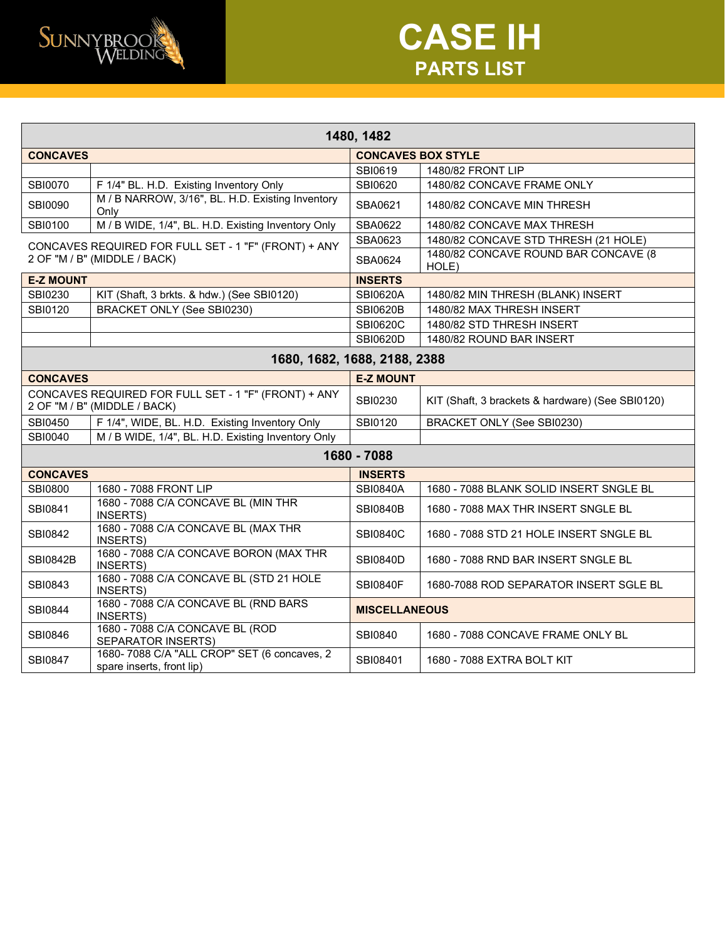

## **CASE IH PARTS LIST**

| 1480, 1482                                                                           |                                                                           |                           |                                                  |  |  |  |
|--------------------------------------------------------------------------------------|---------------------------------------------------------------------------|---------------------------|--------------------------------------------------|--|--|--|
| <b>CONCAVES</b>                                                                      |                                                                           | <b>CONCAVES BOX STYLE</b> |                                                  |  |  |  |
|                                                                                      |                                                                           | SBI0619                   | 1480/82 FRONT LIP                                |  |  |  |
| <b>SBI0070</b>                                                                       | F 1/4" BL. H.D. Existing Inventory Only                                   | SBI0620                   | 1480/82 CONCAVE FRAME ONLY                       |  |  |  |
| <b>SBI0090</b>                                                                       | M / B NARROW, 3/16", BL. H.D. Existing Inventory<br>Only                  | SBA0621                   | 1480/82 CONCAVE MIN THRESH                       |  |  |  |
| SBI0100                                                                              | M / B WIDE, 1/4", BL. H.D. Existing Inventory Only                        | SBA0622                   | 1480/82 CONCAVE MAX THRESH                       |  |  |  |
| CONCAVES REQUIRED FOR FULL SET - 1 "F" (FRONT) + ANY<br>2 OF "M / B" (MIDDLE / BACK) |                                                                           | SBA0623                   | 1480/82 CONCAVE STD THRESH (21 HOLE)             |  |  |  |
|                                                                                      |                                                                           | SBA0624                   | 1480/82 CONCAVE ROUND BAR CONCAVE (8<br>HOLE)    |  |  |  |
| <b>E-Z MOUNT</b>                                                                     |                                                                           | <b>INSERTS</b>            |                                                  |  |  |  |
| SBI0230                                                                              | KIT (Shaft, 3 brkts. & hdw.) (See SBI0120)                                | <b>SBI0620A</b>           | 1480/82 MIN THRESH (BLANK) INSERT                |  |  |  |
| SBI0120                                                                              | <b>BRACKET ONLY (See SBI0230)</b>                                         | <b>SBI0620B</b>           | 1480/82 MAX THRESH INSERT                        |  |  |  |
|                                                                                      |                                                                           | <b>SBI0620C</b>           | 1480/82 STD THRESH INSERT                        |  |  |  |
|                                                                                      |                                                                           | <b>SBI0620D</b>           | 1480/82 ROUND BAR INSERT                         |  |  |  |
| 1680, 1682, 1688, 2188, 2388                                                         |                                                                           |                           |                                                  |  |  |  |
| <b>CONCAVES</b>                                                                      |                                                                           | <b>E-Z MOUNT</b>          |                                                  |  |  |  |
| CONCAVES REQUIRED FOR FULL SET - 1 "F" (FRONT) + ANY<br>2 OF "M / B" (MIDDLE / BACK) |                                                                           | SBI0230                   | KIT (Shaft, 3 brackets & hardware) (See SBI0120) |  |  |  |
| SBI0450                                                                              | F 1/4", WIDE, BL. H.D. Existing Inventory Only                            | SBI0120                   | <b>BRACKET ONLY (See SBI0230)</b>                |  |  |  |
| SBI0040                                                                              | M / B WIDE, 1/4", BL. H.D. Existing Inventory Only                        |                           |                                                  |  |  |  |
| 1680 - 7088                                                                          |                                                                           |                           |                                                  |  |  |  |
| <b>CONCAVES</b>                                                                      |                                                                           | <b>INSERTS</b>            |                                                  |  |  |  |
| <b>SBI0800</b>                                                                       | 1680 - 7088 FRONT LIP                                                     | <b>SBI0840A</b>           | 1680 - 7088 BLANK SOLID INSERT SNGLE BL          |  |  |  |
| SBI0841                                                                              | 1680 - 7088 C/A CONCAVE BL (MIN THR<br>INSERTS)                           | <b>SBI0840B</b>           | 1680 - 7088 MAX THR INSERT SNGLE BL              |  |  |  |
| SBI0842                                                                              | 1680 - 7088 C/A CONCAVE BL (MAX THR<br>INSERTS)                           | <b>SBI0840C</b>           | 1680 - 7088 STD 21 HOLE INSERT SNGLE BL          |  |  |  |
| <b>SBI0842B</b>                                                                      | 1680 - 7088 C/A CONCAVE BORON (MAX THR<br>INSERTS)                        | <b>SBI0840D</b>           | 1680 - 7088 RND BAR INSERT SNGLE BL              |  |  |  |
| SBI0843                                                                              | 1680 - 7088 C/A CONCAVE BL (STD 21 HOLE<br>INSERTS)                       | <b>SBI0840F</b>           | 1680-7088 ROD SEPARATOR INSERT SGLE BL           |  |  |  |
| <b>SBI0844</b>                                                                       | 1680 - 7088 C/A CONCAVE BL (RND BARS<br>INSERTS)                          | <b>MISCELLANEOUS</b>      |                                                  |  |  |  |
| SBI0846                                                                              | 1680 - 7088 C/A CONCAVE BL (ROD<br>SEPARATOR INSERTS)                     | SBI0840                   | 1680 - 7088 CONCAVE FRAME ONLY BL                |  |  |  |
| <b>SBI0847</b>                                                                       | 1680- 7088 C/A "ALL CROP" SET (6 concaves, 2<br>spare inserts, front lip) | SBI08401                  | 1680 - 7088 EXTRA BOLT KIT                       |  |  |  |